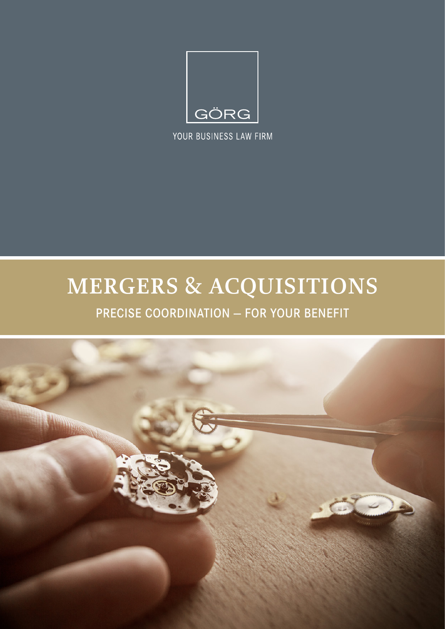

YOUR BUSINESS LAW FIRM

# **MERGERS & ACQUISITIONS**

PRECISE COORDINATION — FOR YOUR BENEFIT

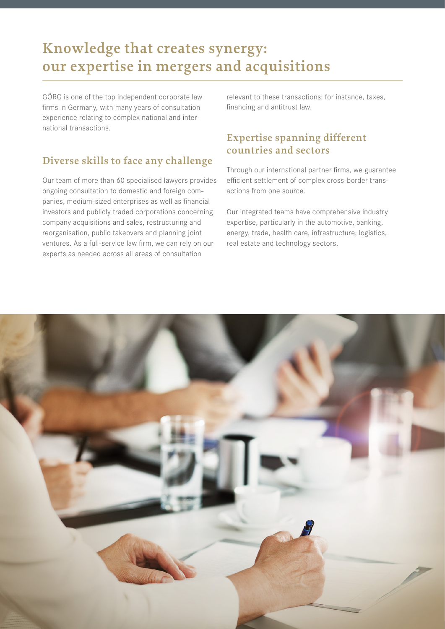### **Knowledge that creates synergy: our expertise in mergers and acquisitions**

GÖRG is one of the top independent corporate law firms in Germany, with many years of consultation experience relating to complex national and international transactions.

#### **Diverse skills to face any challenge**

Our team of more than 60 specialised lawyers provides ongoing consultation to domestic and foreign companies, medium-sized enterprises as well as financial investors and publicly traded corporations concerning company acquisitions and sales, restructuring and reorganisation, public takeovers and planning joint ventures. As a full-service law firm, we can rely on our experts as needed across all areas of consultation

relevant to these transactions: for instance, taxes, financing and antitrust law.

### **Expertise spanning different countries and sectors**

Through our international partner firms, we guarantee efficient settlement of complex cross-border transactions from one source.

Our integrated teams have comprehensive industry expertise, particularly in the automotive, banking, energy, trade, health care, infrastructure, logistics, real estate and technology sectors.

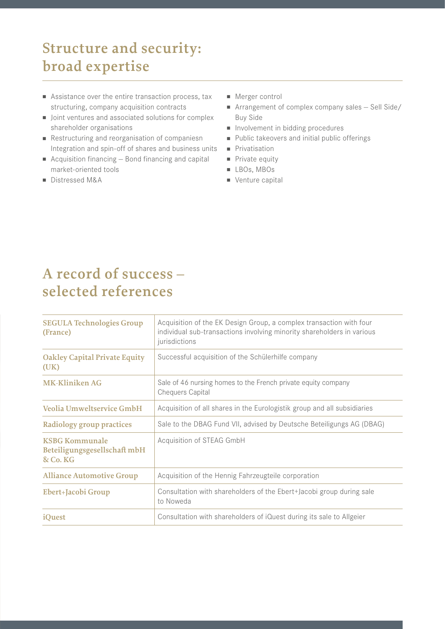# **Structure and security: broad expertise**

- $\blacksquare$  Assistance over the entire transaction process, tax structuring, company acquisition contracts
- Joint ventures and associated solutions for complex shareholder organisations
- Restructuring and reorganisation of companiesn Integration and spin-off of shares and business units
- Acquisition financing  $-$  Bond financing and capital market-oriented tools
- Distressed M&A
- $\blacksquare$  Merger control
- $\blacksquare$  Arrangement of complex company sales  $-$  Sell Side/ Buy Side
- n Involvement in bidding procedures
- Public takeovers and initial public offerings
- **n** Privatisation
- $\blacksquare$  Private equity
- <sup>n</sup> LBOs, MBOs
- $\blacksquare$  Venture capital

### **A record of success – selected references**

| <b>SEGULA Technologies Group</b><br>(France)                      | Acquisition of the EK Design Group, a complex transaction with four<br>individual sub-transactions involving minority shareholders in various<br>jurisdictions |
|-------------------------------------------------------------------|----------------------------------------------------------------------------------------------------------------------------------------------------------------|
| <b>Oakley Capital Private Equity</b><br>(UK)                      | Successful acquisition of the Schülerhilfe company                                                                                                             |
| <b>MK-Kliniken AG</b>                                             | Sale of 46 nursing homes to the French private equity company<br><b>Chequers Capital</b>                                                                       |
| Veolia Umweltservice GmbH                                         | Acquisition of all shares in the Eurologistik group and all subsidiaries                                                                                       |
| Radiology group practices                                         | Sale to the DBAG Fund VII, advised by Deutsche Beteiligungs AG (DBAG)                                                                                          |
| <b>KSBG Kommunale</b><br>Beteiligungsgesellschaft mbH<br>& Co. KG | Acquisition of STEAG GmbH                                                                                                                                      |
| <b>Alliance Automotive Group</b>                                  | Acquisition of the Hennig Fahrzeugteile corporation                                                                                                            |
| Ebert+Jacobi Group                                                | Consultation with shareholders of the Ebert+Jacobi group during sale<br>to Noweda                                                                              |
| <i>iQuest</i>                                                     | Consultation with shareholders of iQuest during its sale to Allgeier                                                                                           |